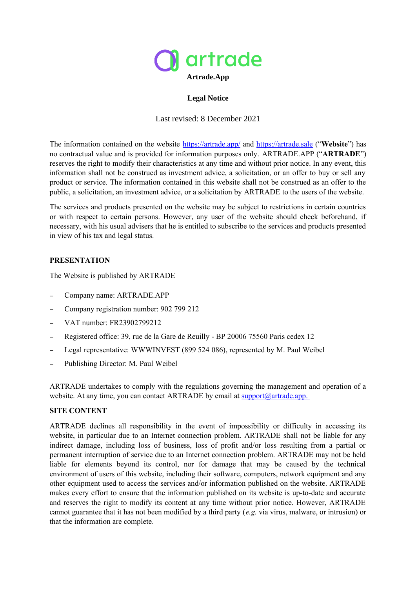

# **Legal Notice**

Last revised: 8 December 2021

The information contained on the website [https://artrade.app/](https://artrade.app/fr) and [https://artrade.sale](https://artrade.sale/login) ("**Website**") has no contractual value and is provided for information purposes only. ARTRADE.APP ("**ARTRADE**") reserves the right to modify their characteristics at any time and without prior notice. In any event, this information shall not be construed as investment advice, a solicitation, or an offer to buy or sell any product or service. The information contained in this website shall not be construed as an offer to the public, a solicitation, an investment advice, or a solicitation by ARTRADE to the users of the website.

The services and products presented on the website may be subject to restrictions in certain countries or with respect to certain persons. However, any user of the website should check beforehand, if necessary, with his usual advisers that he is entitled to subscribe to the services and products presented in view of his tax and legal status.

# **PRESENTATION**

The Website is published by ARTRADE

- Company name: ARTRADE.APP
- Company registration number: 902 799 212
- VAT number: FR23902799212
- Registered office: 39, rue de la Gare de Reuilly BP 20006 75560 Paris cedex 12
- Legal representative: WWWINVEST (899 524 086), represented by M. Paul Weibel
- Publishing Director: M. Paul Weibel

ARTRADE undertakes to comply with the regulations governing the management and operation of a website. At any time, you can contact ARTRADE by email at  $\frac{\text{support}(a)}{\text{artrade}.\text{app}}$ .

### **SITE CONTENT**

ARTRADE declines all responsibility in the event of impossibility or difficulty in accessing its website, in particular due to an Internet connection problem. ARTRADE shall not be liable for any indirect damage, including loss of business, loss of profit and/or loss resulting from a partial or permanent interruption of service due to an Internet connection problem. ARTRADE may not be held liable for elements beyond its control, nor for damage that may be caused by the technical environment of users of this website, including their software, computers, network equipment and any other equipment used to access the services and/or information published on the website. ARTRADE makes every effort to ensure that the information published on its website is up-to-date and accurate and reserves the right to modify its content at any time without prior notice. However, ARTRADE cannot guarantee that it has not been modified by a third party (*e.g.* via virus, malware, or intrusion) or that the information are complete.